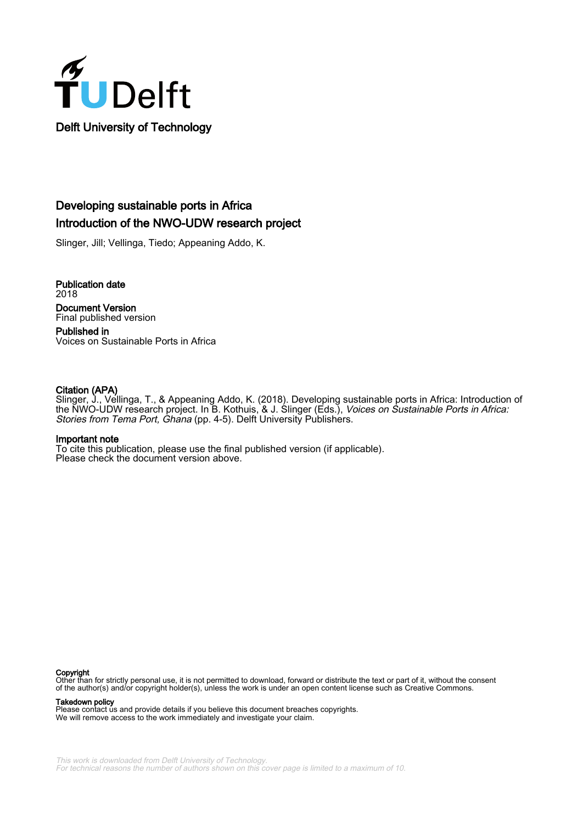

## Developing sustainable ports in Africa Introduction of the NWO-UDW research project

Slinger, Jill; Vellinga, Tiedo; Appeaning Addo, K.

Publication date 2018 Document Version Final published version

Published in Voices on Sustainable Ports in Africa

### Citation (APA)

Slinger, J., Vellinga, T., & Appeaning Addo, K. (2018). Developing sustainable ports in Africa: Introduction of the NWO-UDW research project. In B. Kothuis, & J. Slinger (Eds.), Voices on Sustainable Ports in Africa: Stories from Tema Port, Ghana (pp. 4-5). Delft University Publishers.

#### Important note

To cite this publication, please use the final published version (if applicable). Please check the document version above.

#### Copyright

Other than for strictly personal use, it is not permitted to download, forward or distribute the text or part of it, without the consent of the author(s) and/or copyright holder(s), unless the work is under an open content license such as Creative Commons.

Takedown policy

Please contact us and provide details if you believe this document breaches copyrights. We will remove access to the work immediately and investigate your claim.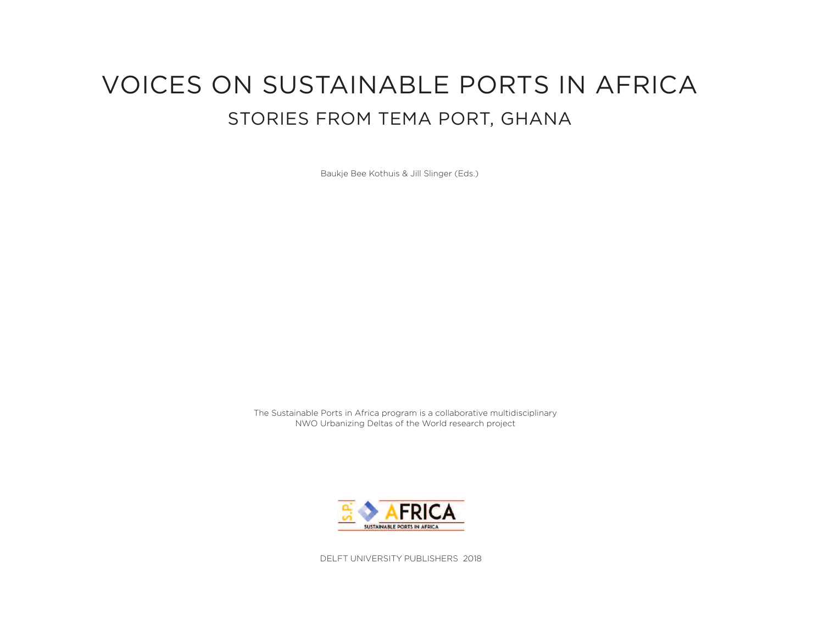# **VOICES ON SUSTAINABLE PORTS IN AFRICA** STORIES FROM TEMA PORT, GHANA

Baukje Bee Kothuis & Jill Slinger (Eds.)

The Sustainable Ports in Africa program is a collaborative multidisciplinary NWO Urbanizing Deltas of the World research project



DELFT UNIVERSITY PUBLISHERS 2018